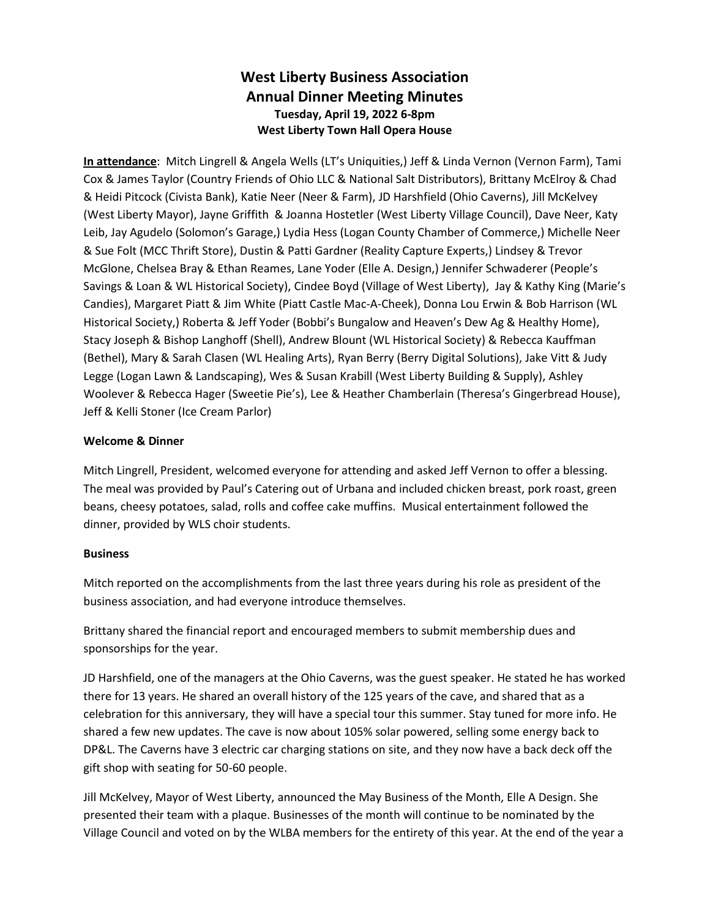## **West Liberty Business Association Annual Dinner Meeting Minutes Tuesday, April 19, 2022 6-8pm West Liberty Town Hall Opera House**

**In attendance**: Mitch Lingrell & Angela Wells (LT's Uniquities,) Jeff & Linda Vernon (Vernon Farm), Tami Cox & James Taylor (Country Friends of Ohio LLC & National Salt Distributors), Brittany McElroy & Chad & Heidi Pitcock (Civista Bank), Katie Neer (Neer & Farm), JD Harshfield (Ohio Caverns), Jill McKelvey (West Liberty Mayor), Jayne Griffith & Joanna Hostetler (West Liberty Village Council), Dave Neer, Katy Leib, Jay Agudelo (Solomon's Garage,) Lydia Hess (Logan County Chamber of Commerce,) Michelle Neer & Sue Folt (MCC Thrift Store), Dustin & Patti Gardner (Reality Capture Experts,) Lindsey & Trevor McGlone, Chelsea Bray & Ethan Reames, Lane Yoder (Elle A. Design,) Jennifer Schwaderer (People's Savings & Loan & WL Historical Society), Cindee Boyd (Village of West Liberty), Jay & Kathy King (Marie's Candies), Margaret Piatt & Jim White (Piatt Castle Mac-A-Cheek), Donna Lou Erwin & Bob Harrison (WL Historical Society,) Roberta & Jeff Yoder (Bobbi's Bungalow and Heaven's Dew Ag & Healthy Home), Stacy Joseph & Bishop Langhoff (Shell), Andrew Blount (WL Historical Society) & Rebecca Kauffman (Bethel), Mary & Sarah Clasen (WL Healing Arts), Ryan Berry (Berry Digital Solutions), Jake Vitt & Judy Legge (Logan Lawn & Landscaping), Wes & Susan Krabill (West Liberty Building & Supply), Ashley Woolever & Rebecca Hager (Sweetie Pie's), Lee & Heather Chamberlain (Theresa's Gingerbread House), Jeff & Kelli Stoner (Ice Cream Parlor)

## **Welcome & Dinner**

Mitch Lingrell, President, welcomed everyone for attending and asked Jeff Vernon to offer a blessing. The meal was provided by Paul's Catering out of Urbana and included chicken breast, pork roast, green beans, cheesy potatoes, salad, rolls and coffee cake muffins. Musical entertainment followed the dinner, provided by WLS choir students.

## **Business**

Mitch reported on the accomplishments from the last three years during his role as president of the business association, and had everyone introduce themselves.

Brittany shared the financial report and encouraged members to submit membership dues and sponsorships for the year.

JD Harshfield, one of the managers at the Ohio Caverns, was the guest speaker. He stated he has worked there for 13 years. He shared an overall history of the 125 years of the cave, and shared that as a celebration for this anniversary, they will have a special tour this summer. Stay tuned for more info. He shared a few new updates. The cave is now about 105% solar powered, selling some energy back to DP&L. The Caverns have 3 electric car charging stations on site, and they now have a back deck off the gift shop with seating for 50-60 people.

Jill McKelvey, Mayor of West Liberty, announced the May Business of the Month, Elle A Design. She presented their team with a plaque. Businesses of the month will continue to be nominated by the Village Council and voted on by the WLBA members for the entirety of this year. At the end of the year a